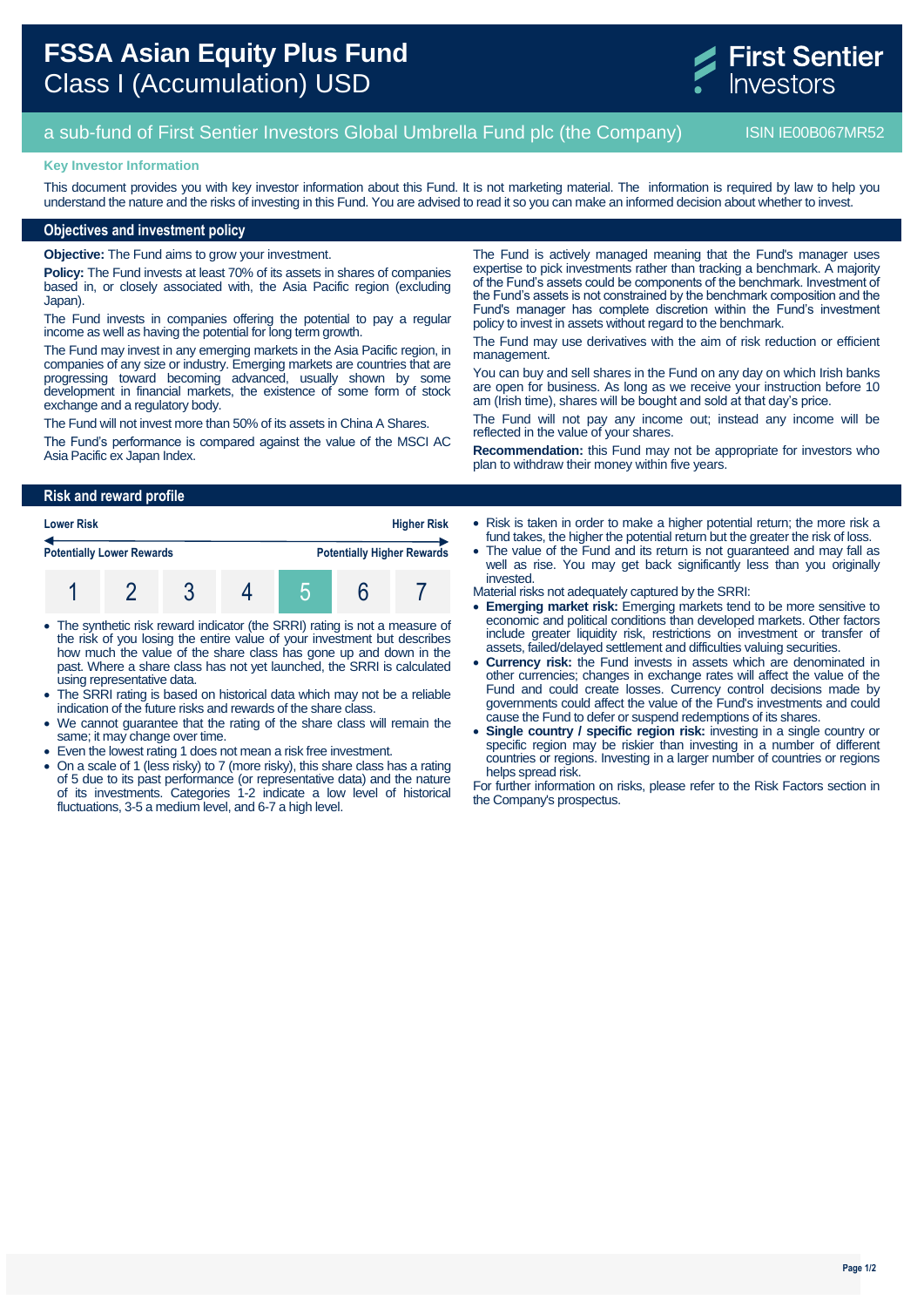

# a sub-fund of First Sentier Investors Global Umbrella Fund plc (the Company) ISIN IE00B067MR52

#### **Key Investor Information**

This document provides you with key investor information about this Fund. It is not marketing material. The information is required by law to help you understand the nature and the risks of investing in this Fund. You are advised to read it so you can make an informed decision about whether to invest.

## **Objectives and investment policy**

**Objective:** The Fund aims to grow your investment.

**Policy:** The Fund invests at least 70% of its assets in shares of companies based in, or closely associated with, the Asia Pacific region (excluding Japan).

The Fund invests in companies offering the potential to pay a regular income as well as having the potential for long term growth.

The Fund may invest in any emerging markets in the Asia Pacific region, in companies of any size or industry. Emerging markets are countries that are progressing toward becoming advanced, usually shown by some development in financial markets, the existence of some form of stock exchange and a regulatory body.

The Fund will not invest more than 50% of its assets in China A Shares.

The Fund's performance is compared against the value of the MSCI AC Asia Pacific ex Japan Index.

The Fund is actively managed meaning that the Fund's manager uses expertise to pick investments rather than tracking a benchmark. A majority of the Fund's assets could be components of the benchmark. Investment of the Fund's assets is not constrained by the benchmark composition and the Fund's manager has complete discretion within the Fund's investment policy to invest in assets without regard to the benchmark.

The Fund may use derivatives with the aim of risk reduction or efficient management.

You can buy and sell shares in the Fund on any day on which Irish banks are open for business. As long as we receive your instruction before 10 am (Irish time), shares will be bought and sold at that day's price.

The Fund will not pay any income out; instead any income will be reflected in the value of your shares.

**Recommendation:** this Fund may not be appropriate for investors who plan to withdraw their money within five years.

### **Risk and reward profile**

| <b>Lower Risk</b>                |  | <b>Higher Risk</b> |  |  |                                   |
|----------------------------------|--|--------------------|--|--|-----------------------------------|
| <b>Potentially Lower Rewards</b> |  |                    |  |  | <b>Potentially Higher Rewards</b> |
|                                  |  |                    |  |  |                                   |

- The synthetic risk reward indicator (the SRRI) rating is not a measure of the risk of you losing the entire value of your investment but describes how much the value of the share class has gone up and down in the past. Where a share class has not yet launched, the SRRI is calculated using representative data.
- The SRRI rating is based on historical data which may not be a reliable indication of the future risks and rewards of the share class.
- We cannot guarantee that the rating of the share class will remain the same; it may change over time.
- Even the lowest rating 1 does not mean a risk free investment.
- On a scale of 1 (less risky) to 7 (more risky), this share class has a rating of 5 due to its past performance (or representative data) and the nature of its investments. Categories 1-2 indicate a low level of historical fluctuations, 3-5 a medium level, and 6-7 a high level.
- Risk is taken in order to make a higher potential return; the more risk a fund takes, the higher the potential return but the greater the risk of loss.
- The value of the Fund and its return is not guaranteed and may fall as well as rise. You may get back significantly less than you originally invested.
- Material risks not adequately captured by the SRRI:
- **Emerging market risk:** Emerging markets tend to be more sensitive to economic and political conditions than developed markets. Other factors include greater liquidity risk, restrictions on investment or transfer of assets, failed/delayed settlement and difficulties valuing securities.
- **Currency risk:** the Fund invests in assets which are denominated in other currencies; changes in exchange rates will affect the value of the Fund and could create losses. Currency control decisions made by governments could affect the value of the Fund's investments and could cause the Fund to defer or suspend redemptions of its shares.
- **Single country / specific region risk:** investing in a single country or specific region may be riskier than investing in a number of different countries or regions. Investing in a larger number of countries or regions helps spread risk.

For further information on risks, please refer to the Risk Factors section in the Company's prospectus.